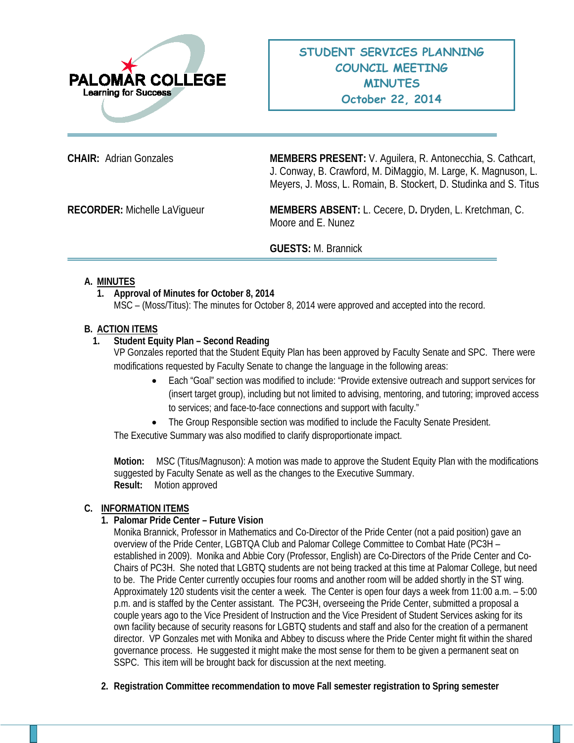

**CHAIR:** Adrian Gonzales **MEMBERS PRESENT:** V. Aguilera, R. Antonecchia, S. Cathcart, J. Conway, B. Crawford, M. DiMaggio, M. Large, K. Magnuson, L. Meyers, J. Moss, L. Romain, B. Stockert, D. Studinka and S. Titus

**RECORDER:** Michelle LaVigueur **MEMBERS ABSENT:** L. Cecere, D**.** Dryden, L. Kretchman, C. Moore and E. Nunez

#### **GUESTS:** M. Brannick

#### **A. MINUTES**

# **1. Approval of Minutes for October 8, 2014**

MSC – (Moss/Titus): The minutes for October 8, 2014 were approved and accepted into the record.

#### **B. ACTION ITEMS**

## **1. Student Equity Plan – Second Reading**

VP Gonzales reported that the Student Equity Plan has been approved by Faculty Senate and SPC. There were modifications requested by Faculty Senate to change the language in the following areas:

- Each "Goal" section was modified to include: "Provide extensive outreach and support services for (insert target group), including but not limited to advising, mentoring, and tutoring; improved access to services; and face-to-face connections and support with faculty."
- The Group Responsible section was modified to include the Faculty Senate President.

The Executive Summary was also modified to clarify disproportionate impact.

**Motion:** MSC (Titus/Magnuson): A motion was made to approve the Student Equity Plan with the modifications suggested by Faculty Senate as well as the changes to the Executive Summary. **Result:** Motion approved

#### **C. INFORMATION ITEMS**

#### **1. Palomar Pride Center – Future Vision**

Monika Brannick, Professor in Mathematics and Co-Director of the Pride Center (not a paid position) gave an overview of the Pride Center, LGBTQA Club and Palomar College Committee to Combat Hate (PC3H – established in 2009). Monika and Abbie Cory (Professor, English) are Co-Directors of the Pride Center and Co-Chairs of PC3H. She noted that LGBTQ students are not being tracked at this time at Palomar College, but need to be. The Pride Center currently occupies four rooms and another room will be added shortly in the ST wing. Approximately 120 students visit the center a week. The Center is open four days a week from 11:00 a.m. – 5:00 p.m. and is staffed by the Center assistant. The PC3H, overseeing the Pride Center, submitted a proposal a couple years ago to the Vice President of Instruction and the Vice President of Student Services asking for its own facility because of security reasons for LGBTQ students and staff and also for the creation of a permanent director. VP Gonzales met with Monika and Abbey to discuss where the Pride Center might fit within the shared governance process. He suggested it might make the most sense for them to be given a permanent seat on SSPC. This item will be brought back for discussion at the next meeting.

**2. Registration Committee recommendation to move Fall semester registration to Spring semester**